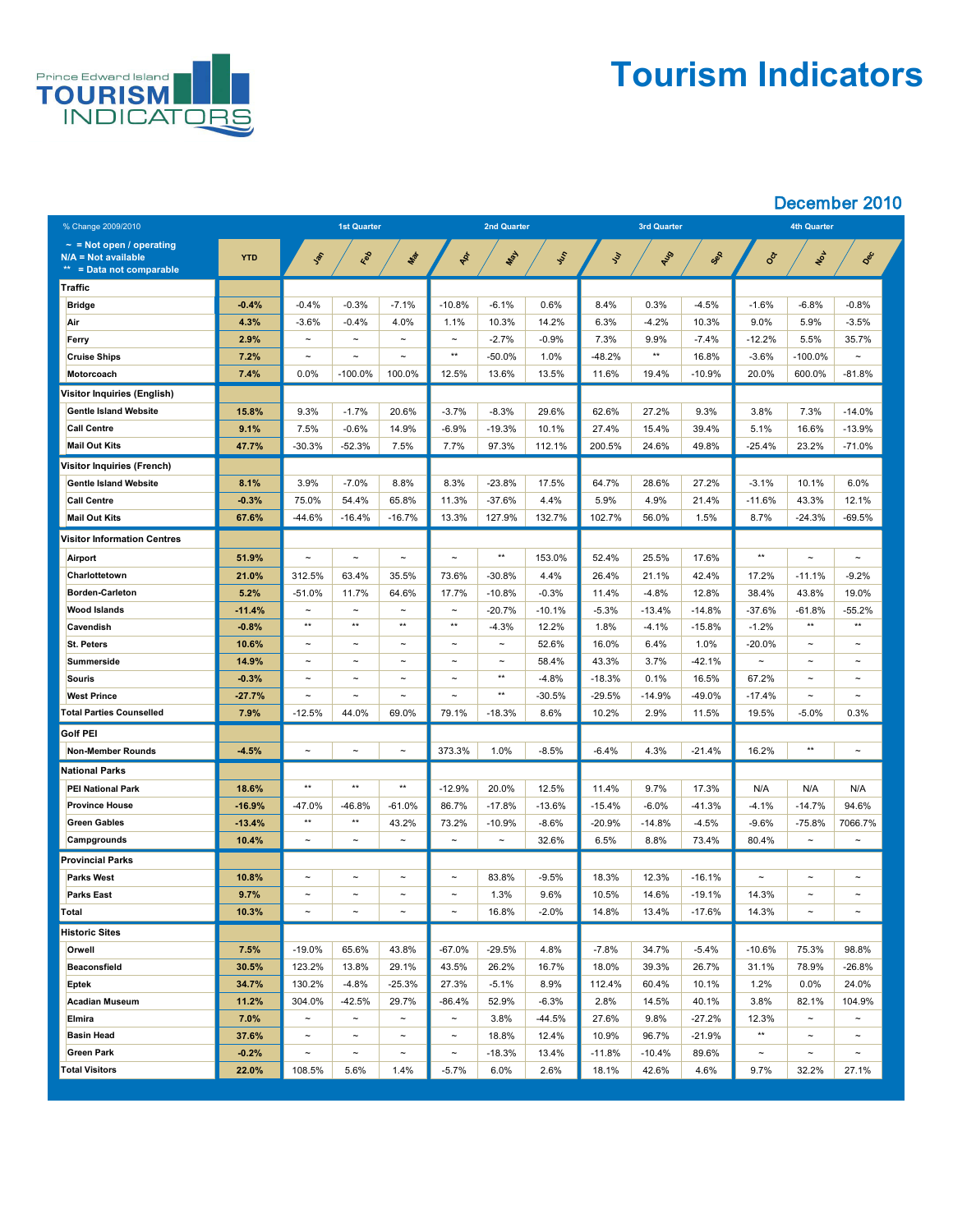

## **Tourism Indicators**

| % Change 2009/2010                                                                 |              | <b>1st Quarter</b>    |                       |                       | <b>2nd Quarter</b>    |             |               |               | <b>3rd Quarter</b> |           | <b>4th Quarter</b>    |                       |                       |  |
|------------------------------------------------------------------------------------|--------------|-----------------------|-----------------------|-----------------------|-----------------------|-------------|---------------|---------------|--------------------|-----------|-----------------------|-----------------------|-----------------------|--|
| $\sim$ = Not open / operating<br>$N/A = Not available$<br>** = Data not comparable | <b>YTD</b>   | Jan                   | Red                   | Mar                   | PRI                   | <b>LASH</b> | <b>System</b> | $\mathcal{L}$ | AUS                | Sep       | <b>SOLUT</b>          | NON                   | Dec                   |  |
| Traffic                                                                            |              |                       |                       |                       |                       |             |               |               |                    |           |                       |                       |                       |  |
| <b>Bridge</b>                                                                      | $-0.4%$      | $-0.4%$               | $-0.3%$               | $-7.1\%$              | $-10.8%$              | $-6.1%$     | 0.6%          | 8.4%          | 0.3%               | $-4.5%$   | $-1.6%$               | $-6.8%$               | $-0.8%$               |  |
| Air                                                                                | 4.3%         | $-3.6%$               | $-0.4%$               | 4.0%                  | 1.1%                  | 10.3%       | 14.2%         | 6.3%          | $-4.2%$            | 10.3%     | 9.0%                  | 5.9%                  | $-3.5%$               |  |
| <b>Ferry</b>                                                                       | 2.9%         | $\tilde{\phantom{a}}$ | $\tilde{\phantom{m}}$ | $\sim$                | $\tilde{\phantom{a}}$ | $-2.7%$     | $-0.9%$       | 7.3%          | 9.9%               | $-7.4%$   | $-12.2%$              | 5.5%                  | 35.7%                 |  |
| <b>Cruise Ships</b>                                                                | 7.2%         | $\tilde{\phantom{a}}$ | $\thicksim$           | $\sim$                | $***$                 | $-50.0%$    | 1.0%          | $-48.2%$      | $***$              | 16.8%     | $-3.6%$               | $-100.0\%$            | $\sim$                |  |
| <b>Motorcoach</b>                                                                  | 7.4%         | $0.0\%$               | $-100.0\%$            | 100.0%                | 12.5%                 | 13.6%       | 13.5%         | 11.6%         | 19.4%              | $-10.9%$  | 20.0%                 | 600.0%                | $-81.8%$              |  |
| Visitor Inquiries (English)                                                        |              |                       |                       |                       |                       |             |               |               |                    |           |                       |                       |                       |  |
| <b>Gentle Island Website</b>                                                       | 15.8%        | 9.3%                  | $-1.7%$               | 20.6%                 | $-3.7%$               | $-8.3%$     | 29.6%         | 62.6%         | 27.2%              | 9.3%      | 3.8%                  | 7.3%                  | $-14.0%$              |  |
| <b>Call Centre</b>                                                                 | 9.1%         | 7.5%                  | $-0.6%$               | 14.9%                 | $-6.9%$               | $-19.3%$    | 10.1%         | 27.4%         | 15.4%              | 39.4%     | 5.1%                  | 16.6%                 | $-13.9%$              |  |
| <b>Mail Out Kits</b>                                                               | 47.7%        | $-30.3%$              | $-52.3%$              | 7.5%                  | 7.7%                  | 97.3%       | 112.1%        | 200.5%        | 24.6%              | 49.8%     | $-25.4%$              | 23.2%                 | $-71.0%$              |  |
| <b>Visitor Inquiries (French)</b>                                                  |              |                       |                       |                       |                       |             |               |               |                    |           |                       |                       |                       |  |
| <b>Gentle Island Website</b>                                                       | 8.1%         | 3.9%                  | $-7.0\%$              | 8.8%                  | 8.3%                  | $-23.8%$    | 17.5%         | 64.7%         | 28.6%              | 27.2%     | $-3.1%$               | 10.1%                 | 6.0%                  |  |
| <b>Call Centre</b>                                                                 | $-0.3%$      | 75.0%                 | 54.4%                 | 65.8%                 | 11.3%                 | $-37.6%$    | 4.4%          | 5.9%          | 4.9%               | 21.4%     | $-11.6%$              | 43.3%                 | 12.1%                 |  |
| <b>Mail Out Kits</b>                                                               | <b>67.6%</b> | $-44.6%$              | $-16.4%$              | $-16.7%$              | 13.3%                 | 127.9%      | 132.7%        | 102.7%        | 56.0%              | 1.5%      | 8.7%                  | $-24.3%$              | $-69.5%$              |  |
| <b>Visitor Information Centres</b>                                                 |              |                       |                       |                       |                       |             |               |               |                    |           |                       |                       |                       |  |
| <b>Airport</b>                                                                     | 51.9%        | $\tilde{\phantom{a}}$ | $\tilde{\phantom{a}}$ | $\tilde{\phantom{a}}$ | $\tilde{\phantom{a}}$ | $***$       | 153.0%        | 52.4%         | 25.5%              | 17.6%     | $***$                 | $\sim$                | $\sim$                |  |
| Charlottetown                                                                      | 21.0%        | 312.5%                | 63.4%                 | 35.5%                 | 73.6%                 | $-30.8%$    | 4.4%          | 26.4%         | 21.1%              | 42.4%     | 17.2%                 | $-11.1%$              | $-9.2%$               |  |
| <b>Borden-Carleton</b>                                                             | 5.2%         | $-51.0%$              | 11.7%                 | 64.6%                 | 17.7%                 | $-10.8%$    | $-0.3%$       | 11.4%         | $-4.8%$            | 12.8%     | 38.4%                 | 43.8%                 | 19.0%                 |  |
| <b>Wood Islands</b>                                                                | $-11.4%$     | $\tilde{\phantom{a}}$ | $\tilde{\phantom{a}}$ | $\tilde{\phantom{a}}$ | $\tilde{\phantom{a}}$ | $-20.7%$    | $-10.1%$      | $-5.3%$       | $-13.4%$           | $-14.8%$  | $-37.6%$              | $-61.8%$              | $-55.2%$              |  |
| <b>Cavendish</b>                                                                   | $-0.8%$      | $***$                 | $***$                 | $***$                 | $***$                 | $-4.3%$     | 12.2%         | 1.8%          | $-4.1%$            | $-15.8%$  | $-1.2%$               | $***$                 | $***$                 |  |
| <b>St. Peters</b>                                                                  | 10.6%        | $\sim$                | $\thicksim$           | $\sim$                | $\tilde{\phantom{a}}$ | $\thicksim$ | 52.6%         | 16.0%         | 6.4%               | 1.0%      | $-20.0\%$             | $\thicksim$           | $\sim$                |  |
| Summerside                                                                         | 14.9%        | $\tilde{\phantom{a}}$ | $\tilde{\phantom{a}}$ | $\tilde{\phantom{a}}$ | $\tilde{\phantom{a}}$ | $\tilde{}$  | 58.4%         | 43.3%         | 3.7%               | $-42.1%$  | $\tilde{\phantom{a}}$ | $\tilde{\phantom{a}}$ | $\tilde{\phantom{m}}$ |  |
| <b>Souris</b>                                                                      | $-0.3%$      | $\sim$                | $\thicksim$           | $\sim$                | $\tilde{\phantom{a}}$ | $***$       | $-4.8%$       | $-18.3%$      | 0.1%               | 16.5%     | 67.2%                 | $\tilde{\phantom{m}}$ | $\sim$                |  |
| <b>West Prince</b>                                                                 | $-27.7%$     | $\sim$                | $\thicksim$           | $\sim$                | $\tilde{\phantom{m}}$ | $***$       | $-30.5%$      | $-29.5%$      | $-14.9%$           | $-49.0\%$ | $-17.4%$              | $\thicksim$           | $\sim$                |  |
| <b>Total Parties Counselled</b>                                                    | 7.9%         | $-12.5%$              | 44.0%                 | 69.0%                 | 79.1%                 | $-18.3%$    | 8.6%          | 10.2%         | 2.9%               | 11.5%     | 19.5%                 | $-5.0\%$              | 0.3%                  |  |
| <b>Golf PEI</b>                                                                    |              |                       |                       |                       |                       |             |               |               |                    |           |                       |                       |                       |  |
| Non-Member Rounds                                                                  | $-4.5%$      | $\tilde{\phantom{a}}$ | $\sim$                | $\sim$                | 373.3%                | 1.0%        | $-8.5%$       | $-6.4\%$      | 4.3%               | $-21.4%$  | 16.2%                 | $***$                 | $\tilde{\phantom{m}}$ |  |
| <b>National Parks</b>                                                              |              |                       |                       |                       |                       |             |               |               |                    |           |                       |                       |                       |  |
| <b>PEI National Park</b>                                                           | 18.6%        | $***$                 | $***$                 | $***$                 | $-12.9%$              | 20.0%       | 12.5%         | 11.4%         | 9.7%               | 17.3%     | N/A                   | N/A                   | N/A                   |  |
| <b>Province House</b>                                                              | $-16.9%$     | $-47.0\%$             | $-46.8%$              | $-61.0%$              | 86.7%                 | $-17.8%$    | $-13.6%$      | $-15.4\%$     | $-6.0\%$           | $-41.3%$  | $-4.1%$               | $-14.7%$              | 94.6%                 |  |
| <b>Green Gables</b>                                                                | $-13.4%$     | $***$                 | $***$                 | 43.2%                 | 73.2%                 | $-10.9%$    | $-8.6%$       | $-20.9%$      | $-14.8%$           | $-4.5%$   | $-9.6%$               | $-75.8%$              | 7066.7%               |  |
| <b>Campgrounds</b>                                                                 | 10.4%        | $\sim$                | $\tilde{\phantom{a}}$ | $\sim$                | $\tilde{\phantom{a}}$ | $\thicksim$ | 32.6%         | 6.5%          | 8.8%               | 73.4%     | 80.4%                 | $\thicksim$           | $\sim$                |  |
| <b>Provincial Parks</b>                                                            |              |                       |                       |                       |                       |             |               |               |                    |           |                       |                       |                       |  |
| <b>Parks West</b>                                                                  | 10.8%        | $\tilde{\phantom{m}}$ | $\tilde{\phantom{m}}$ | $\sim$                | $\sim$                | 83.8%       | $-9.5%$       | 18.3%         | 12.3%              | $-16.1%$  | $\tilde{\phantom{m}}$ | $\thicksim$           | $\tilde{\phantom{m}}$ |  |
| <b>Parks East</b>                                                                  | 9.7%         | $\thicksim$           | $\thicksim$           | $\sim$                | $\sim$                | 1.3%        | 9.6%          | 10.5%         | 14.6%              | $-19.1%$  | 14.3%                 | $\thicksim$           | $\sim$                |  |
| Total                                                                              | 10.3%        | $\thicksim$           | $\thicksim$           | $\tilde{\phantom{a}}$ | $\sim$                | 16.8%       | $-2.0%$       | 14.8%         | 13.4%              | $-17.6%$  | 14.3%                 | $\thicksim$           | $\thicksim$           |  |
| <b>Historic Sites</b>                                                              |              |                       |                       |                       |                       |             |               |               |                    |           |                       |                       |                       |  |
| <b>Orwell</b>                                                                      | 7.5%         | $-19.0%$              | 65.6%                 | 43.8%                 | $-67.0\%$             | $-29.5%$    | 4.8%          | $-7.8%$       | 34.7%              | $-5.4%$   | $-10.6%$              | 75.3%                 | 98.8%                 |  |
| <b>Beaconsfield</b>                                                                | 30.5%        | 123.2%                | 13.8%                 | 29.1%                 | 43.5%                 | 26.2%       | 16.7%         | 18.0%         | 39.3%              | 26.7%     | 31.1%                 | 78.9%                 | $-26.8%$              |  |
| <b>Eptek</b>                                                                       | 34.7%        | 130.2%                | $-4.8%$               | $-25.3%$              | 27.3%                 | $-5.1%$     | 8.9%          | 112.4%        | 60.4%              | 10.1%     | 1.2%                  | $0.0\%$               | 24.0%                 |  |
| <b>Acadian Museum</b>                                                              | 11.2%        | 304.0%                | $-42.5%$              | 29.7%                 | $-86.4%$              | 52.9%       | $-6.3%$       | 2.8%          | 14.5%              | 40.1%     | 3.8%                  | 82.1%                 | 104.9%                |  |
| <b>Elmira</b>                                                                      | 7.0%         | $\sim$                | $\sim$                | $\sim$                | $\sim$                | 3.8%        | $-44.5%$      | 27.6%         | 9.8%               | $-27.2%$  | 12.3%                 | $\tilde{\phantom{m}}$ | $\sim$                |  |
| <b>Basin Head</b>                                                                  | 37.6%        | $\sim$                | $\sim$                | $\sim$                | $\sim$                | 18.8%       | 12.4%         | 10.9%         | 96.7%              | $-21.9%$  | $***$                 | $\thicksim$           | $\sim$                |  |
| <b>Green Park</b>                                                                  | $-0.2%$      | $\sim$                | $\sim$                | $\sim$                | $\sim$                | $-18.3%$    | 13.4%         | $-11.8%$      | $-10.4%$           | 89.6%     | $\sim$                | $\tilde{\phantom{m}}$ | $\sim$                |  |
| <b>Total Visitors</b>                                                              | 22.0%        | 108.5%                | 5.6%                  | 1.4%                  | $-5.7\%$              | 6.0%        | 2.6%          | 18.1%         | 42.6%              | 4.6%      | 9.7%                  | 32.2%                 | 27.1%                 |  |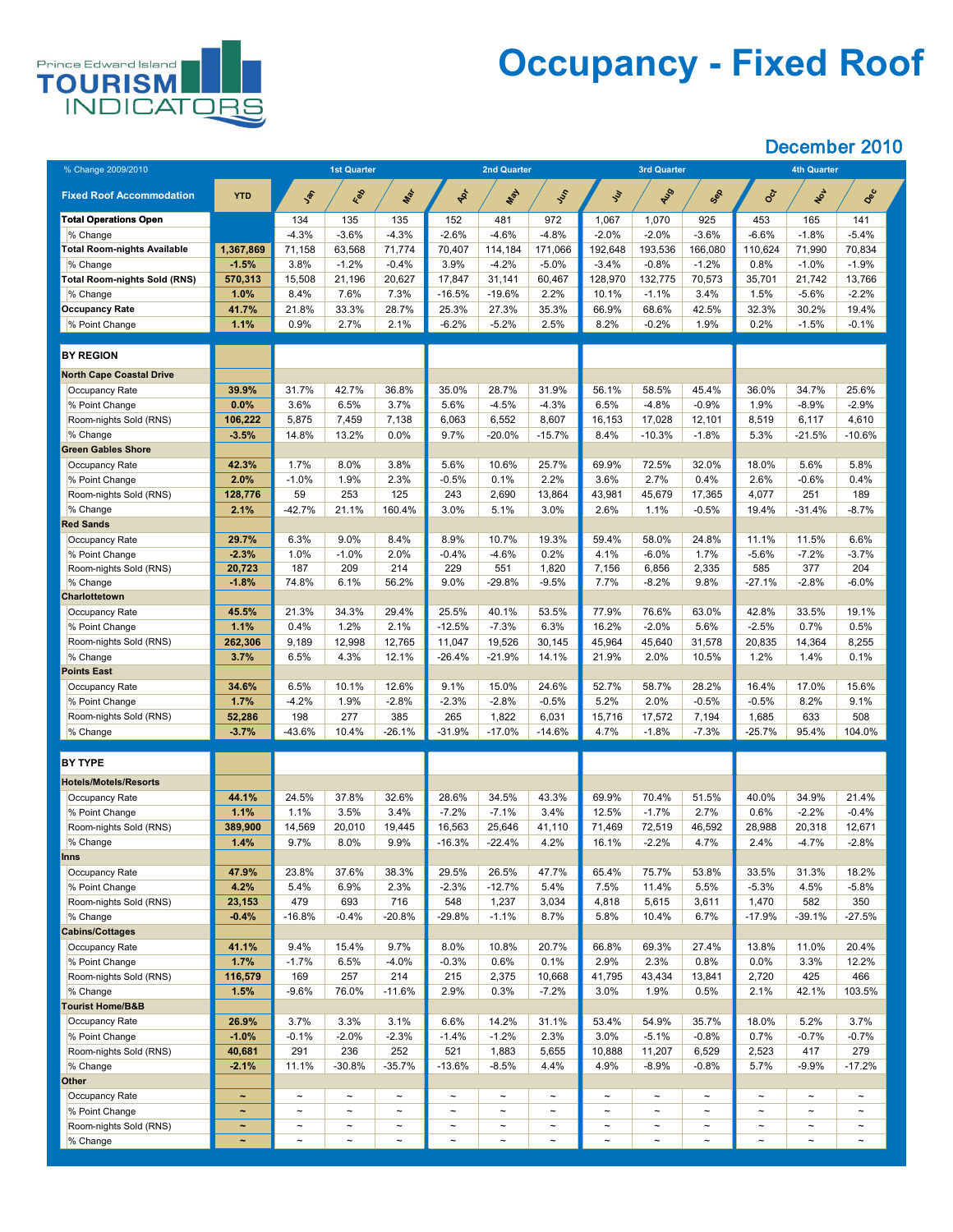

# **Occupancy - Fixed Roof**

| % Change 2009/2010                          |                       | <b>1st Quarter</b>    |                       |               |                       | <b>2nd Quarter</b>    |                       |                       | <b>3rd Quarter</b>    |                       | <b>4th Quarter</b>    |                       |                       |
|---------------------------------------------|-----------------------|-----------------------|-----------------------|---------------|-----------------------|-----------------------|-----------------------|-----------------------|-----------------------|-----------------------|-----------------------|-----------------------|-----------------------|
| <b>Fixed Roof Accommodation</b>             | <b>YTD</b>            | Jan                   | Red                   | Max           | PR                    | Nay                   | Ist                   | <b>Sur</b>            | ALS                   | Sep                   | CCK                   | NOL                   | Dec                   |
| <b>Total Operations Open</b>                |                       | 134                   | 135                   | 135           | 152                   | 481                   | 972                   | 1,067                 | 1,070                 | 925                   | 453                   | 165                   | 141                   |
| % Change                                    |                       | $-4.3%$               | $-3.6%$               | $-4.3%$       | $-2.6%$               | $-4.6%$               | $-4.8%$               | $-2.0%$               | $-2.0%$               | $-3.6%$               | $-6.6%$               | $-1.8%$               | $-5.4%$               |
| <b>Total Room-nights Available</b>          | 1,367,869             | 71,158                | 63,568                | 71,774        | 70,407                | 114,184               | 171,066               | 192,648               | 193,536               | 166,080               | 110,624               | 71,990                | 70,834                |
| % Change                                    | $-1.5%$               | 3.8%                  | $-1.2%$               | $-0.4%$       | 3.9%                  | $-4.2%$               | $-5.0\%$              | $-3.4%$               | $-0.8%$               | $-1.2%$               | 0.8%                  | $-1.0\%$              | $-1.9%$               |
| <b>Total Room-nights Sold (RNS)</b>         | 570,313               | 15,508                | 21,196                | 20,627        | 17,847                | 31,141                | 60,467                | 128,970               | 132,775               | 70,573                | 35,701                | 21,742                | 13,766                |
| % Change                                    | 1.0%                  | 8.4%                  | 7.6%                  | 7.3%          | $-16.5%$              | $-19.6%$              | 2.2%                  | 10.1%                 | $-1.1%$               | 3.4%                  | $1.5\%$               | $-5.6%$               | $-2.2%$               |
| <b>Occupancy Rate</b><br>% Point Change     | 41.7%<br>1.1%         | 21.8%<br>0.9%         | 33.3%<br>2.7%         | 28.7%<br>2.1% | 25.3%<br>$-6.2%$      | 27.3%<br>$-5.2%$      | 35.3%<br>2.5%         | 66.9%<br>8.2%         | 68.6%<br>$-0.2%$      | 42.5%<br>1.9%         | 32.3%<br>0.2%         | 30.2%<br>$-1.5%$      | 19.4%<br>$-0.1%$      |
|                                             |                       |                       |                       |               |                       |                       |                       |                       |                       |                       |                       |                       |                       |
| <b>BY REGION</b>                            |                       |                       |                       |               |                       |                       |                       |                       |                       |                       |                       |                       |                       |
| <b>North Cape Coastal Drive</b>             |                       |                       |                       |               |                       |                       |                       |                       |                       |                       |                       |                       |                       |
| Occupancy Rate                              | 39.9%                 | 31.7%                 | 42.7%                 | 36.8%         | 35.0%                 | 28.7%                 | 31.9%                 | 56.1%                 | 58.5%                 | 45.4%                 | 36.0%                 | 34.7%                 | 25.6%                 |
| % Point Change                              | $0.0\%$               | 3.6%                  | 6.5%                  | 3.7%          | 5.6%                  | $-4.5%$               | $-4.3%$               | 6.5%                  | $-4.8%$               | $-0.9%$               | 1.9%                  | $-8.9%$               | $-2.9%$               |
| Room-nights Sold (RNS)                      | 106,222               | 5,875                 | 7,459                 | 7,138         | 6,063                 | 6,552                 | 8,607                 | 16,153                | 17,028                | 12,101                | 8,519                 | 6,117                 | 4,610                 |
| % Change<br><b>Green Gables Shore</b>       | $-3.5%$               | 14.8%                 | 13.2%                 | $0.0\%$       | 9.7%                  | $-20.0%$              | $-15.7%$              | 8.4%                  | $-10.3%$              | $-1.8%$               | 5.3%                  | $-21.5%$              | $-10.6%$              |
| Occupancy Rate                              | 42.3%                 | 1.7%                  | 8.0%                  | 3.8%          | 5.6%                  | 10.6%                 | 25.7%                 | 69.9%                 | 72.5%                 | 32.0%                 | 18.0%                 | 5.6%                  | 5.8%                  |
| % Point Change                              | 2.0%                  | $-1.0%$               | 1.9%                  | 2.3%          | $-0.5%$               | 0.1%                  | 2.2%                  | 3.6%                  | 2.7%                  | 0.4%                  | 2.6%                  | $-0.6%$               | 0.4%                  |
| Room-nights Sold (RNS)                      | 128,776               | 59                    | 253                   | 125           | 243                   | 2,690                 | 13,864                | 43,981                | 45,679                | 17,365                | 4,077                 | 251                   | 189                   |
| % Change                                    | 2.1%                  | $-42.7%$              | 21.1%                 | 160.4%        | 3.0%                  | 5.1%                  | 3.0%                  | 2.6%                  | 1.1%                  | $-0.5%$               | 19.4%                 | $-31.4%$              | $-8.7%$               |
| <b>Red Sands</b>                            |                       |                       |                       |               |                       |                       |                       |                       |                       |                       |                       |                       |                       |
| Occupancy Rate                              | 29.7%                 | 6.3%                  | $9.0\%$               | 8.4%          | 8.9%                  | 10.7%                 | 19.3%                 | 59.4%                 | 58.0%                 | 24.8%                 | 11.1%                 | 11.5%                 | 6.6%                  |
| % Point Change                              | $-2.3%$               | 1.0%                  | $-1.0%$               | 2.0%          | $-0.4%$               | $-4.6%$               | 0.2%                  | 4.1%                  | $-6.0\%$              | 1.7%                  | $-5.6\%$              | $-7.2\%$              | $-3.7%$               |
| Room-nights Sold (RNS)                      | 20,723                | 187                   | 209                   | 214           | 229                   | 551                   | 1,820                 | 7,156                 | 6,856                 | 2,335                 | 585                   | 377                   | 204                   |
| % Change                                    | $-1.8%$               | 74.8%                 | 6.1%                  | 56.2%         | $9.0\%$               | $-29.8%$              | $-9.5%$               | 7.7%                  | $-8.2%$               | 9.8%                  | $-27.1%$              | $-2.8%$               | $-6.0\%$              |
| <b>Charlottetown</b>                        |                       |                       |                       |               |                       |                       |                       |                       |                       |                       |                       |                       |                       |
| Occupancy Rate                              | 45.5%                 | 21.3%                 | 34.3%                 | 29.4%         | 25.5%                 | 40.1%                 | 53.5%                 | 77.9%                 | 76.6%                 | 63.0%                 | 42.8%                 | 33.5%                 | 19.1%                 |
| % Point Change                              | 1.1%                  | 0.4%                  | 1.2%                  | 2.1%          | $-12.5%$              | $-7.3%$               | 6.3%                  | 16.2%                 | $-2.0%$               | 5.6%                  | $-2.5%$               | 0.7%                  | 0.5%                  |
| Room-nights Sold (RNS)                      | 262,306               | 9,189                 | 12,998                | 12,765        | 11,047                | 19,526                | 30,145                | 45,964                | 45,640                | 31,578                | 20,835                | 14,364                | 8,255                 |
| % Change                                    | 3.7%                  | 6.5%                  | 4.3%                  | 12.1%         | $-26.4\%$             | $-21.9%$              | 14.1%                 | 21.9%                 | 2.0%                  | 10.5%                 | 1.2%                  | 1.4%                  | 0.1%                  |
| <b>Points East</b><br><b>Occupancy Rate</b> | 34.6%                 | 6.5%                  | 10.1%                 | 12.6%         | 9.1%                  | 15.0%                 | 24.6%                 | 52.7%                 | 58.7%                 | 28.2%                 | 16.4%                 | 17.0%                 | 15.6%                 |
| % Point Change                              | 1.7%                  | $-4.2%$               | 1.9%                  | $-2.8%$       | $-2.3%$               | $-2.8%$               | $-0.5%$               | 5.2%                  | 2.0%                  | $-0.5%$               | $-0.5%$               | 8.2%                  | 9.1%                  |
| Room-nights Sold (RNS)                      | 52,286                | 198                   | 277                   | 385           | 265                   | 1,822                 | 6,031                 | 15,716                | 17,572                | 7,194                 | 1,685                 | 633                   | 508                   |
| % Change                                    | $-3.7%$               | $-43.6%$              | 10.4%                 | $-26.1%$      | $-31.9%$              | $-17.0%$              | $-14.6%$              | 4.7%                  | $-1.8%$               | $-7.3%$               | $-25.7%$              | 95.4%                 | 104.0%                |
|                                             |                       |                       |                       |               |                       |                       |                       |                       |                       |                       |                       |                       |                       |
| <b>BY TYPE</b>                              |                       |                       |                       |               |                       |                       |                       |                       |                       |                       |                       |                       |                       |
| <b>Hotels/Motels/Resorts</b>                |                       |                       |                       |               |                       |                       |                       |                       |                       |                       |                       |                       |                       |
| Occupancy Rate                              | 44.1%                 | 24.5%                 | 37.8%                 | 32.6%         | 28.6%                 | 34.5%                 | 43.3%                 | 69.9%                 | 70.4%                 | 51.5%                 | 40.0%                 | 34.9%                 | 21.4%                 |
| % Point Change                              | 1.1%                  | 1.1%                  | 3.5%                  | 3.4%          | $-7.2%$               | $-7.1%$               | 3.4%                  | 12.5%                 | $-1.7%$               | 2.7%                  | 0.6%                  | $-2.2%$               | $-0.4%$               |
| Room-nights Sold (RNS)                      | 389,900               | 14,569<br>9.7%        | 20,010                | 19,445        | 16,563                | 25,646<br>$-22.4%$    | 41,110<br>4.2%        | 71,469                | 72,519<br>$-2.2%$     | 46,592<br>4.7%        | 28,988                | 20,318                | 12,671<br>$-2.8%$     |
| % Change<br><b>Inns</b>                     | 1.4%                  |                       | 8.0%                  | 9.9%          | $-16.3%$              |                       |                       | 16.1%                 |                       |                       | 2.4%                  | $-4.7%$               |                       |
| <b>Occupancy Rate</b>                       | 47.9%                 | 23.8%                 | 37.6%                 | 38.3%         | 29.5%                 | 26.5%                 | 47.7%                 | 65.4%                 | 75.7%                 | 53.8%                 | 33.5%                 | 31.3%                 | 18.2%                 |
| % Point Change                              | 4.2%                  | 5.4%                  | 6.9%                  | 2.3%          | $-2.3%$               | $-12.7%$              | 5.4%                  | 7.5%                  | 11.4%                 | 5.5%                  | $-5.3%$               | 4.5%                  | $-5.8%$               |
| Room-nights Sold (RNS)                      | 23,153                | 479                   | 693                   | 716           | 548                   | 1,237                 | 3,034                 | 4,818                 | 5,615                 | 3,611                 | 1,470                 | 582                   | 350                   |
| % Change                                    | $-0.4%$               | $-16.8%$              | $-0.4%$               | $-20.8%$      | $-29.8%$              | $-1.1%$               | 8.7%                  | 5.8%                  | 10.4%                 | 6.7%                  | $-17.9\%$             | $-39.1%$              | $-27.5%$              |
| <b>Cabins/Cottages</b>                      |                       |                       |                       |               |                       |                       |                       |                       |                       |                       |                       |                       |                       |
| Occupancy Rate                              | 41.1%                 | 9.4%                  | 15.4%                 | 9.7%          | 8.0%                  | 10.8%                 | 20.7%                 | 66.8%                 | 69.3%                 | 27.4%                 | 13.8%                 | 11.0%                 | 20.4%                 |
| % Point Change                              | 1.7%                  | $-1.7%$               | 6.5%                  | $-4.0%$       | $-0.3%$               | 0.6%                  | 0.1%                  | 2.9%                  | 2.3%                  | 0.8%                  | $0.0\%$               | 3.3%                  | 12.2%                 |
| Room-nights Sold (RNS)                      | 116,579               | 169                   | 257                   | 214           | 215                   | 2,375                 | 10,668                | 41,795                | 43,434                | 13,841                | 2,720                 | 425                   | 466                   |
| % Change                                    | 1.5%                  | $-9.6%$               | 76.0%                 | $-11.6%$      | 2.9%                  | 0.3%                  | $-7.2%$               | 3.0%                  | 1.9%                  | 0.5%                  | 2.1%                  | 42.1%                 | 103.5%                |
| <b>Tourist Home/B&amp;B</b>                 |                       |                       |                       |               |                       |                       |                       |                       |                       |                       |                       |                       |                       |
| <b>Occupancy Rate</b>                       | 26.9%                 | 3.7%                  | 3.3%                  | 3.1%          | 6.6%                  | 14.2%                 | 31.1%                 | 53.4%                 | 54.9%                 | 35.7%                 | 18.0%                 | 5.2%                  | 3.7%                  |
| % Point Change                              | $-1.0%$               | $-0.1%$               | $-2.0%$               | $-2.3%$       | $-1.4%$               | $-1.2%$               | 2.3%                  | 3.0%                  | $-5.1%$               | $-0.8%$               | 0.7%                  | $-0.7%$               | $-0.7%$               |
| Room-nights Sold (RNS)                      | 40,681                | 291                   | 236                   | 252           | 521                   | 1,883                 | 5,655                 | 10,888                | 11,207                | 6,529                 | 2,523                 | 417                   | 279                   |
| % Change<br><b>Other</b>                    | $-2.1%$               | 11.1%                 | $-30.8%$              | $-35.7%$      | $-13.6%$              | $-8.5%$               | 4.4%                  | 4.9%                  | $-8.9\%$              | $-0.8%$               | 5.7%                  | $-9.9%$               | $-17.2%$              |
| Occupancy Rate                              | $\tilde{\phantom{a}}$ | $\tilde{\phantom{m}}$ | $\sim$                | $\sim$        | $\tilde{\phantom{m}}$ | $\thicksim$           | $\sim$                | $\tilde{\phantom{a}}$ | $\sim$                | $\tilde{}$            | $\sim$                | $\tilde{\phantom{a}}$ | $\tilde{\phantom{a}}$ |
| % Point Change                              | $\tilde{\phantom{a}}$ | $\tilde{\phantom{a}}$ | $\sim$                | $\sim$        | $\tilde{}$            | $\tilde{\phantom{m}}$ | $\sim$                | $\tilde{\phantom{a}}$ | $\sim$                | $\tilde{}$            | $\sim$                | $\tilde{\phantom{a}}$ | $\thicksim$           |
| Room-nights Sold (RNS)                      |                       | $\tilde{\phantom{a}}$ | $\tilde{\phantom{a}}$ | $\tilde{}$    | $\tilde{\phantom{a}}$ | $\tilde{\phantom{a}}$ | $\tilde{\phantom{a}}$ |                       | $\tilde{\phantom{a}}$ | $\tilde{\phantom{a}}$ | $\tilde{\phantom{a}}$ | $\tilde{}$            | $\tilde{\phantom{m}}$ |
| % Change                                    | $\tilde{\phantom{a}}$ | $\thicksim$           | $\thicksim$           | $\sim$        | $\tilde{}$            | $\thicksim$           | $\sim$                |                       | $\sim$                | $\thicksim$           | $\sim$                | $\tilde{\phantom{a}}$ | $\tilde{\phantom{a}}$ |
|                                             |                       |                       |                       |               |                       |                       |                       |                       |                       |                       |                       |                       |                       |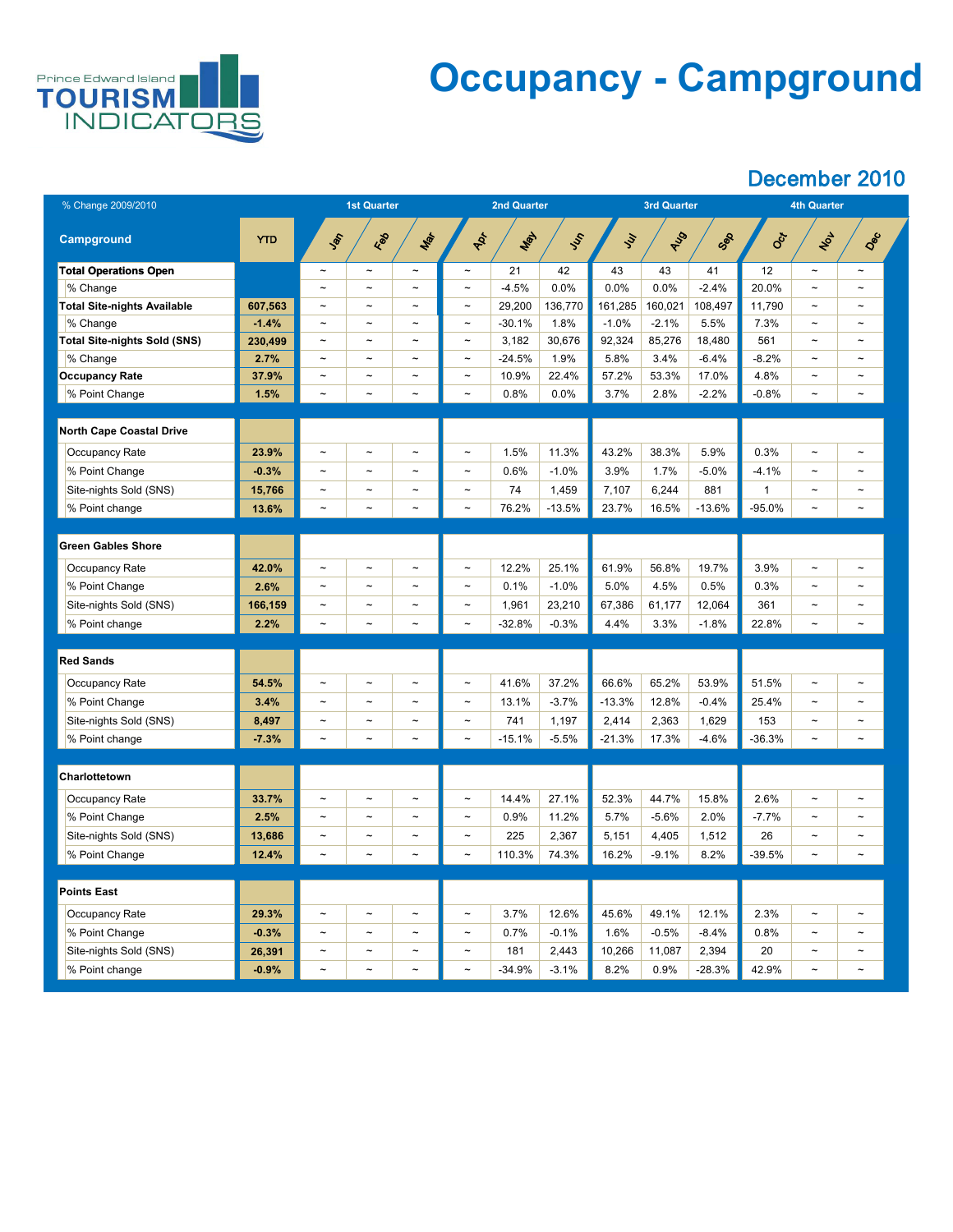

## **Occupancy - Campground**

| % Change 2009/2010                  |            | <b>1st Quarter</b>    |                       |                       | <b>2nd Quarter</b>        |          |               |               | <b>3rd Quarter</b> |          | <b>4th Quarter</b> |                       |                       |  |
|-------------------------------------|------------|-----------------------|-----------------------|-----------------------|---------------------------|----------|---------------|---------------|--------------------|----------|--------------------|-----------------------|-----------------------|--|
| <b>Campground</b>                   | <b>YTD</b> | <b>SEC</b>            | Red                   | Mar                   | ADT                       | Max      | $\mathcal{S}$ | $\mathcal{S}$ | AUS                | Sep      | Oct                | 102                   | Dec                   |  |
| <b>Total Operations Open</b>        |            | $\tilde{\phantom{a}}$ | $\tilde{\phantom{m}}$ | $\tilde{\phantom{a}}$ | $\tilde{}$                | 21       | 42            | 43            | 43                 | 41       | 12                 | $\tilde{\phantom{a}}$ | $\thicksim$           |  |
| % Change                            |            | $\tilde{\phantom{a}}$ | $\tilde{\phantom{m}}$ | $\tilde{\phantom{a}}$ | $\thicksim$               | $-4.5%$  | 0.0%          | 0.0%          | 0.0%               | $-2.4%$  | 20.0%              | $\tilde{\phantom{m}}$ | $\tilde{\phantom{m}}$ |  |
| <b>Total Site-nights Available</b>  | 607,563    | $\sim$                | $\tilde{\phantom{m}}$ | $\tilde{\phantom{a}}$ | $\thicksim$               | 29,200   | 136,770       | 161,285       | 160,021            | 108,497  | 11,790             | $\tilde{\phantom{a}}$ | $\sim$                |  |
| % Change                            | $-1.4%$    | $\tilde{\phantom{a}}$ | $\sim$                | $\sim$                | $\thicksim$               | $-30.1%$ | 1.8%          | $-1.0%$       | $-2.1%$            | 5.5%     | 7.3%               | $\tilde{\phantom{a}}$ | $\tilde{\phantom{m}}$ |  |
| <b>Total Site-nights Sold (SNS)</b> | 230,499    | $\sim$                | $\sim$                | $\tilde{\phantom{a}}$ | $\thicksim$               | 3,182    | 30,676        | 92,324        | 85,276             | 18,480   | 561                | $\tilde{\phantom{a}}$ | $\tilde{\phantom{m}}$ |  |
| % Change                            | 2.7%       | $\tilde{\phantom{a}}$ | $\sim$                | $\sim$                | $\thicksim$               | $-24.5%$ | 1.9%          | 5.8%          | 3.4%               | $-6.4%$  | $-8.2%$            | $\thicksim$           | $\tilde{\phantom{m}}$ |  |
| <b>Occupancy Rate</b>               | 37.9%      | $\tilde{\phantom{a}}$ | $\tilde{\phantom{a}}$ | $\tilde{\phantom{a}}$ | $\tilde{\phantom{a}}$     | 10.9%    | 22.4%         | 57.2%         | 53.3%              | 17.0%    | 4.8%               | $\tilde{\phantom{a}}$ | $\tilde{\phantom{m}}$ |  |
| % Point Change                      | 1.5%       | $\tilde{\phantom{a}}$ | $\tilde{\phantom{a}}$ | $\sim$                | $\thicksim$               | 0.8%     | 0.0%          | 3.7%          | 2.8%               | $-2.2%$  | $-0.8%$            | $\tilde{\phantom{a}}$ | $\tilde{}$            |  |
|                                     |            |                       |                       |                       |                           |          |               |               |                    |          |                    |                       |                       |  |
| <b>North Cape Coastal Drive</b>     |            |                       |                       |                       |                           |          |               |               |                    |          |                    |                       |                       |  |
| <b>Occupancy Rate</b>               | 23.9%      | $\tilde{\phantom{a}}$ | $\sim$                | $\sim$                | $\thicksim$               | 1.5%     | 11.3%         | 43.2%         | 38.3%              | 5.9%     | 0.3%               | $\thicksim$           | $\sim$                |  |
| % Point Change                      | $-0.3%$    | $\tilde{\phantom{a}}$ | $\tilde{\phantom{a}}$ | $\tilde{\phantom{a}}$ | $\thicksim$               | 0.6%     | $-1.0%$       | 3.9%          | 1.7%               | $-5.0\%$ | $-4.1%$            | $\tilde{\phantom{a}}$ | $\tilde{\phantom{m}}$ |  |
| Site-nights Sold (SNS)              | 15,766     | $\tilde{\phantom{a}}$ | $\tilde{\phantom{a}}$ | $\tilde{\phantom{a}}$ | $\tilde{}$                | 74       | 1,459         | 7,107         | 6,244              | 881      |                    | $\tilde{}$            | $\tilde{\phantom{a}}$ |  |
| % Point change                      | 13.6%      | $\thicksim$           | $\tilde{\phantom{a}}$ | $\sim$                | $\thicksim$               | 76.2%    | $-13.5%$      | 23.7%         | 16.5%              | $-13.6%$ | $-95.0%$           | $\thicksim$           | $\tilde{\phantom{a}}$ |  |
|                                     |            |                       |                       |                       |                           |          |               |               |                    |          |                    |                       |                       |  |
| <b>Green Gables Shore</b>           |            |                       |                       |                       |                           |          |               |               |                    |          |                    |                       |                       |  |
| <b>Occupancy Rate</b>               | 42.0%      | $\tilde{\phantom{a}}$ | $\tilde{\phantom{m}}$ | $\tilde{\phantom{a}}$ | $\thicksim$               | 12.2%    | 25.1%         | 61.9%         | 56.8%              | 19.7%    | 3.9%               | $\thicksim$           | $\tilde{\phantom{m}}$ |  |
| % Point Change                      | 2.6%       | $\tilde{\phantom{a}}$ | $\sim$                | $\sim$                | $\thicksim$               | 0.1%     | $-1.0%$       | 5.0%          | 4.5%               | 0.5%     | 0.3%               | $\tilde{\phantom{a}}$ | $\tilde{\phantom{m}}$ |  |
| Site-nights Sold (SNS)              | 166,159    | $\sim$                | $\tilde{\phantom{a}}$ | $\tilde{\phantom{a}}$ | $\thicksim$               | 1,961    | 23,210        | 67,386        | 61,177             | 12,064   | 361                | $\tilde{\phantom{a}}$ | $\tilde{\phantom{m}}$ |  |
| % Point change                      | 2.2%       | $\tilde{\phantom{a}}$ | $\tilde{\phantom{a}}$ | $\sim$                | $\widetilde{\phantom{m}}$ | $-32.8%$ | $-0.3%$       | 4.4%          | 3.3%               | $-1.8%$  | 22.8%              | $\thicksim$           | $\tilde{}$            |  |
|                                     |            |                       |                       |                       |                           |          |               |               |                    |          |                    |                       |                       |  |
| <b>Red Sands</b>                    |            |                       |                       |                       |                           |          |               |               |                    |          |                    |                       |                       |  |
| <b>Occupancy Rate</b>               | 54.5%      | $\tilde{\phantom{a}}$ | $\tilde{\phantom{a}}$ | $\sim$                | $\thicksim$               | 41.6%    | 37.2%         | 66.6%         | 65.2%              | 53.9%    | 51.5%              | $\thicksim$           | $\tilde{\phantom{m}}$ |  |
| % Point Change                      | 3.4%       | $\tilde{\phantom{a}}$ | $\sim$                | $\sim$                | $\tilde{\phantom{m}}$     | 13.1%    | $-3.7%$       | $-13.3%$      | 12.8%              | $-0.4%$  | 25.4%              | $\tilde{\phantom{a}}$ | $\sim$                |  |
| Site-nights Sold (SNS)              | 8,497      | $\tilde{\phantom{a}}$ | $\sim$                | $\sim$                | $\tilde{\phantom{m}}$     | 741      | 1,197         | 2,414         | 2,363              | 1,629    | 153                | $\tilde{\phantom{a}}$ | $\tilde{\phantom{m}}$ |  |
| % Point change                      | $-7.3%$    | $\sim$                | $\thicksim$           | $\thicksim$           | $\tilde{\phantom{m}}$     | $-15.1%$ | $-5.5%$       | $-21.3%$      | 17.3%              | $-4.6%$  | $-36.3%$           | $\thicksim$           | $\tilde{\phantom{m}}$ |  |
|                                     |            |                       |                       |                       |                           |          |               |               |                    |          |                    |                       |                       |  |
| Charlottetown                       |            |                       |                       |                       |                           |          |               |               |                    |          |                    |                       |                       |  |
| <b>Occupancy Rate</b>               | 33.7%      | $\tilde{\phantom{a}}$ | $\sim$                | $\sim$                | $\thicksim$               | 14.4%    | 27.1%         | 52.3%         | 44.7%              | 15.8%    | 2.6%               | $\thicksim$           | $\sim$                |  |
| % Point Change                      | 2.5%       | $\tilde{\phantom{a}}$ | $\sim$                | $\tilde{\phantom{a}}$ | $\thicksim$               | 0.9%     | 11.2%         | 5.7%          | $-5.6%$            | 2.0%     | $-7.7\%$           | $\sim$                | $\tilde{\phantom{m}}$ |  |
| Site-nights Sold (SNS)              | 13,686     | $\tilde{\phantom{a}}$ | $\sim$                | $\tilde{\phantom{a}}$ | $\thicksim$               | 225      | 2,367         | 5,151         | 4,405              | 1,512    | 26                 | $\tilde{\phantom{a}}$ | $\sim$                |  |
| % Point Change                      | 12.4%      | $\tilde{\phantom{a}}$ | $\sim$                | $\thicksim$           | $\tilde{\phantom{m}}$     | 110.3%   | 74.3%         | 16.2%         | $-9.1%$            | 8.2%     | $-39.5%$           | $\thicksim$           | $\tilde{}$            |  |
|                                     |            |                       |                       |                       |                           |          |               |               |                    |          |                    |                       |                       |  |
| <b>Points East</b>                  |            |                       |                       |                       |                           |          |               |               |                    |          |                    |                       |                       |  |
| Occupancy Rate                      | 29.3%      | $\tilde{\phantom{a}}$ | $\sim$                | $\sim$                | $\thicksim$               | 3.7%     | 12.6%         | 45.6%         | 49.1%              | 12.1%    | 2.3%               | $\tilde{\phantom{a}}$ | $\tilde{\phantom{m}}$ |  |
| % Point Change                      | $-0.3%$    |                       |                       | $\sim$                |                           | 0.7%     | $-0.1%$       | 1.6%          | $-0.5%$            | $-8.4%$  | 0.8%               | $\tilde{\phantom{a}}$ |                       |  |
| Site-nights Sold (SNS)              | 26,391     | $\sim$                | $\sim$                | $\sim$                | $\thicksim$               | 181      | 2,443         | 10,266        | 11,087             | 2,394    | 20                 | $\sim$                | $\sim$                |  |
| % Point change                      | $-0.9%$    | $\sim$                | $\sim$                | $\sim$                | $\thicksim$               | $-34.9%$ | $-3.1%$       | 8.2%          | 0.9%               | $-28.3%$ | 42.9%              | $\sim$                | $\tilde{\phantom{a}}$ |  |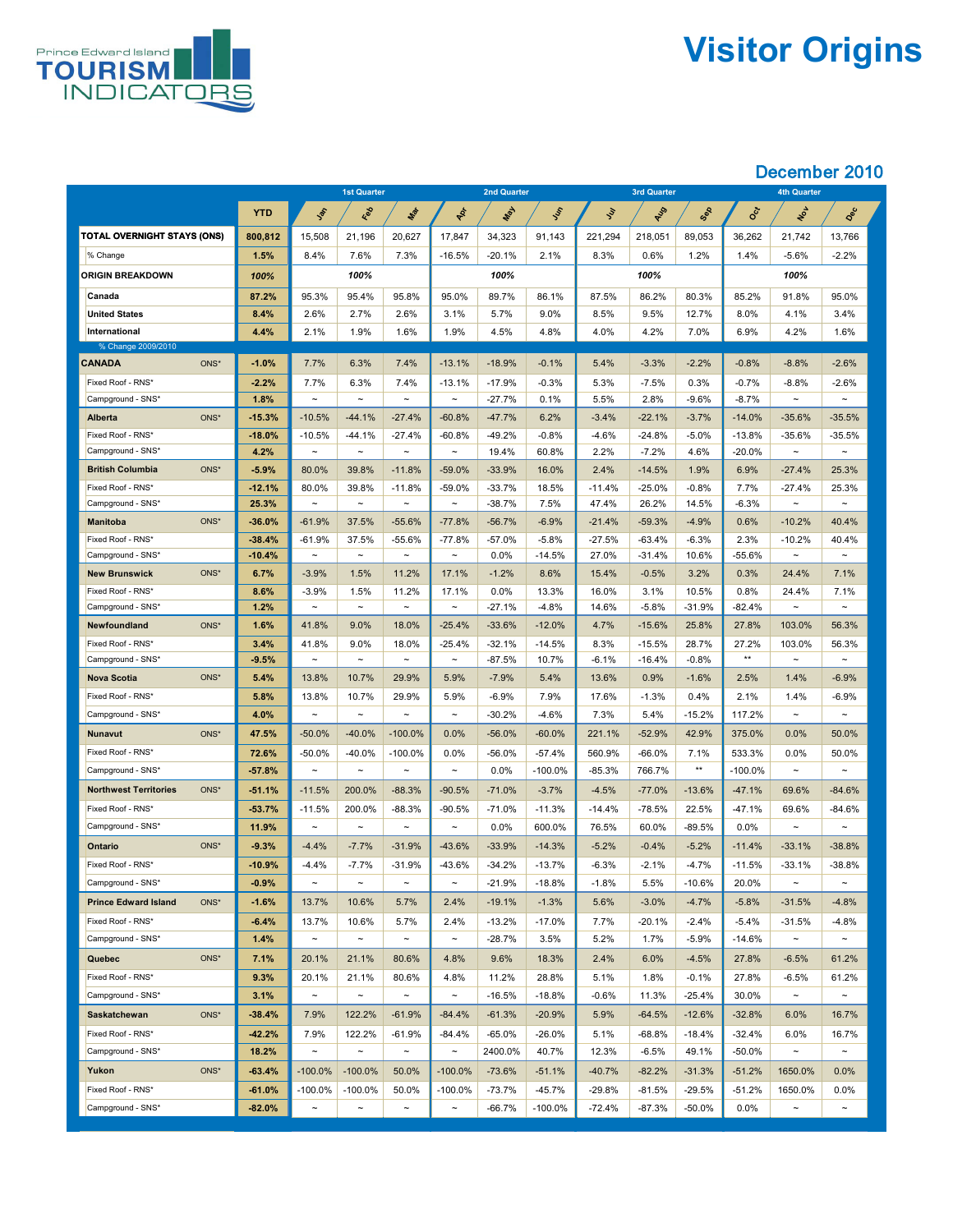

# **Visitor Origins**

|                                                      |                   | <b>1st Quarter</b>              |                     | <b>2nd Quarter</b>                  |                                  |                     |                        | <b>3rd Quarter</b> |                     | <b>4th Quarter</b> |                      |                    |                    |
|------------------------------------------------------|-------------------|---------------------------------|---------------------|-------------------------------------|----------------------------------|---------------------|------------------------|--------------------|---------------------|--------------------|----------------------|--------------------|--------------------|
|                                                      | <b>YTD</b>        | Jan                             | Red                 | Mar                                 | POL                              | <b>WAY</b>          | Just                   | $\mathcal{S}$      | RIS                 | Sep                | Oct                  | NOV                | Dec                |
| <b>TOTAL OVERNIGHT STAYS (ONS)</b>                   | 800,812           | 15,508                          | 21,196              | 20,627                              | 17,847                           | 34,323              | 91,143                 | 221,294            | 218,051             | 89,053             | 36,262               | 21,742             | 13,766             |
| % Change                                             | 1.5%              | 8.4%                            | 7.6%                | 7.3%                                | $-16.5%$                         | $-20.1%$            | 2.1%                   | 8.3%               | 0.6%                | 1.2%               | $1.4\%$              | $-5.6%$            | $-2.2%$            |
| <b>ORIGIN BREAKDOWN</b>                              | 100%              |                                 | 100%                |                                     |                                  | 100%                |                        |                    | 100%                |                    |                      | 100%               |                    |
| <b>Canada</b>                                        | 87.2%             | 95.3%                           | 95.4%               | 95.8%                               | 95.0%                            | 89.7%               | 86.1%                  | 87.5%              | 86.2%               | 80.3%              | 85.2%                | 91.8%              | 95.0%              |
| <b>United States</b>                                 | 8.4%              | 2.6%                            | 2.7%                | 2.6%                                | 3.1%                             | 5.7%                | 9.0%                   | 8.5%               | 9.5%                | 12.7%              | 8.0%                 | 4.1%               | 3.4%               |
| International                                        | 4.4%              | 2.1%                            | $1.9\%$             | 1.6%                                | 1.9%                             | 4.5%                | 4.8%                   | 4.0%               | 4.2%                | 7.0%               | 6.9%                 | 4.2%               | 1.6%               |
| % Change 2009/2010                                   |                   |                                 |                     |                                     |                                  |                     |                        |                    |                     |                    |                      |                    |                    |
| ONS*<br><b>CANADA</b>                                | $-1.0%$           | 7.7%                            | 6.3%                | 7.4%                                | $-13.1%$                         | $-18.9%$            | $-0.1%$                | 5.4%               | $-3.3%$             | $-2.2%$            | $-0.8%$              | $-8.8%$            | $-2.6%$            |
| Fixed Roof - RNS*                                    | $-2.2%$           | 7.7%                            | 6.3%                | 7.4%                                | $-13.1%$                         | $-17.9%$            | $-0.3%$                | 5.3%               | $-7.5%$             | 0.3%               | $-0.7%$              | $-8.8%$            | $-2.6%$            |
| Campground - SNS*                                    | 1.8%              | $\thicksim$                     | $\sim$              | $\sim$                              | $\thicksim$                      | $-27.7%$            | 0.1%                   | 5.5%               | 2.8%                | $-9.6%$            | $-8.7%$              | $\sim$             | $\sim$             |
| ONS*<br><b>Alberta</b>                               | $-15.3%$          | $-10.5%$                        | $-44.1%$            | $-27.4%$                            | $-60.8%$                         | $-47.7%$            | 6.2%                   | $-3.4%$            | $-22.1%$            | $-3.7%$            | $-14.0%$             | $-35.6%$           | $-35.5%$           |
| Fixed Roof - RNS*                                    | $-18.0%$          | $-10.5%$<br>$\thicksim$         | $-44.1%$<br>$\sim$  | $-27.4%$<br>$\sim$                  | $-60.8%$<br>$\thicksim$          | $-49.2%$            | $-0.8%$                | $-4.6%$            | $-24.8%$<br>$-7.2%$ | $-5.0\%$           | $-13.8%$<br>$-20.0%$ | $-35.6%$<br>$\sim$ | $-35.5%$<br>$\sim$ |
| Campground - SNS*<br>ONS*<br><b>British Columbia</b> | 4.2%<br>$-5.9%$   | 80.0%                           | 39.8%               | $-11.8%$                            | $-59.0%$                         | 19.4%<br>$-33.9%$   | 60.8%<br>16.0%         | 2.2%<br>2.4%       | $-14.5%$            | 4.6%<br>1.9%       | 6.9%                 | $-27.4%$           | 25.3%              |
| Fixed Roof - RNS*                                    | $-12.1%$          | 80.0%                           | 39.8%               | $-11.8%$                            | $-59.0%$                         | $-33.7%$            | 18.5%                  | $-11.4%$           | $-25.0%$            | $-0.8%$            | 7.7%                 | $-27.4%$           | 25.3%              |
| Campground - SNS*                                    | 25.3%             | $\tilde{\phantom{m}}$           | $\sim$              | $\sim$                              | $\thicksim$                      | $-38.7%$            | 7.5%                   | 47.4%              | 26.2%               | 14.5%              | $-6.3\%$             | $\thicksim$        | $\sim$             |
| ONS*<br><b>Manitoba</b>                              | $-36.0%$          | $-61.9%$                        | 37.5%               | $-55.6%$                            | $-77.8%$                         | $-56.7%$            | $-6.9%$                | $-21.4%$           | $-59.3%$            | $-4.9%$            | 0.6%                 | $-10.2%$           | 40.4%              |
| Fixed Roof - RNS*                                    | $-38.4%$          | $-61.9%$                        | 37.5%               | $-55.6%$                            | $-77.8%$                         | $-57.0%$            | $-5.8%$                | $-27.5%$           | $-63.4%$            | $-6.3%$            | 2.3%                 | $-10.2%$           | 40.4%              |
| Campground - SNS*                                    | $-10.4%$          | $\thicksim$                     | $\sim$              | $\sim$                              | $\thicksim$                      | 0.0%                | $-14.5%$               | 27.0%              | $-31.4%$            | 10.6%              | $-55.6%$             | $\sim$             | $\sim$             |
| ONS*<br><b>New Brunswick</b>                         | 6.7%              | $-3.9%$                         | 1.5%                | 11.2%                               | 17.1%                            | $-1.2%$             | 8.6%                   | 15.4%              | $-0.5%$             | 3.2%               | 0.3%                 | 24.4%              | 7.1%               |
| Fixed Roof - RNS*                                    | 8.6%              | $-3.9\%$                        | 1.5%                | 11.2%                               | 17.1%                            | $0.0\%$             | 13.3%                  | 16.0%              | 3.1%                | 10.5%              | 0.8%                 | 24.4%              | 7.1%               |
| Campground - SNS*                                    | 1.2%              | $\tilde{\phantom{m}}$           | $\sim$              | $\sim$                              | $\thicksim$                      | $-27.1%$            | $-4.8\%$               | 14.6%              | $-5.8\%$            | $-31.9%$           | $-82.4\%$            | $\sim$             | $\sim$             |
| ONS*<br><b>Newfoundland</b>                          | 1.6%              | 41.8%                           | $9.0\%$             | 18.0%                               | $-25.4%$                         | $-33.6%$            | $-12.0\%$              | 4.7%               | $-15.6%$            | 25.8%              | 27.8%                | 103.0%             | 56.3%              |
| Fixed Roof - RNS*                                    | 3.4%              | 41.8%                           | $9.0\%$             | 18.0%                               | $-25.4%$                         | $-32.1%$            | $-14.5%$               | 8.3%               | $-15.5%$            | 28.7%              | 27.2%                | 103.0%             | 56.3%              |
| Campground - SNS*                                    | $-9.5%$           | $\tilde{\phantom{m}}$           | $\sim$              | $\sim$                              | $\sim$                           | $-87.5%$            | 10.7%                  | $-6.1%$            | $-16.4%$            | $-0.8%$            | $***$                | $\sim$             | $\sim$             |
| ONS*<br><b>Nova Scotia</b>                           | 5.4%              | 13.8%                           | 10.7%               | 29.9%                               | 5.9%                             | $-7.9%$             | 5.4%                   | 13.6%              | 0.9%                | $-1.6%$            | 2.5%                 | 1.4%               | $-6.9%$            |
| Fixed Roof - RNS*                                    | 5.8%              | 13.8%                           | 10.7%               | 29.9%                               | 5.9%                             | $-6.9\%$            | 7.9%                   | 17.6%              | $-1.3%$             | 0.4%               | 2.1%                 | 1.4%               | $-6.9\%$           |
| Campground - SNS*<br>ONS*                            | 4.0%              | $\thicksim$                     | $\sim$              | $\sim$                              | $\sim$                           | $-30.2%$            | $-4.6%$                | 7.3%               | 5.4%                | $-15.2%$           | 117.2%               | $\sim$             | $\sim$             |
| <b>Nunavut</b>                                       | 47.5%             | $-50.0\%$                       | $-40.0%$            | $-100.0\%$                          | 0.0%                             | $-56.0%$            | $-60.0\%$              | 221.1%             | $-52.9%$            | 42.9%              | 375.0%               | 0.0%               | 50.0%              |
| Fixed Roof - RNS*<br>Campground - SNS*               | 72.6%<br>$-57.8%$ | -50.0%<br>$\tilde{\phantom{m}}$ | $-40.0\%$<br>$\sim$ | $-100.0\%$<br>$\tilde{\phantom{a}}$ | $0.0\%$<br>$\tilde{\phantom{a}}$ | $-56.0%$<br>$0.0\%$ | $-57.4%$<br>$-100.0\%$ | 560.9%<br>$-85.3%$ | $-66.0\%$<br>766.7% | 7.1%<br>$***$      | 533.3%<br>$-100.0\%$ | 0.0%<br>$\sim$     | 50.0%<br>$\sim$    |
| ONS*<br><b>Northwest Territories</b>                 | $-51.1%$          | $-11.5%$                        | 200.0%              | $-88.3%$                            | $-90.5%$                         | $-71.0%$            | $-3.7%$                | $-4.5%$            | $-77.0%$            | $-13.6%$           | $-47.1%$             | 69.6%              | $-84.6%$           |
| Fixed Roof - RNS*                                    | $-53.7%$          | $-11.5%$                        | 200.0%              | $-88.3%$                            | $-90.5%$                         | $-71.0%$            | $-11.3%$               | $-14.4%$           | $-78.5%$            | 22.5%              | $-47.1%$             | 69.6%              | $-84.6%$           |
| Campground - SNS*                                    | 11.9%             | $\thicksim$                     | $\sim$              | $\tilde{\phantom{a}}$               | $\tilde{\phantom{m}}$            | 0.0%                | 600.0%                 | 76.5%              | 60.0%               | $-89.5%$           | $0.0\%$              | $\sim$             | $\thicksim$        |
| ONS*<br><b>Ontario</b>                               | $-9.3%$           | $-4.4%$                         | $-7.7%$             | $-31.9%$                            | $-43.6%$                         | $-33.9%$            | $-14.3%$               | $-5.2%$            | $-0.4%$             | $-5.2%$            | $-11.4%$             | $-33.1%$           | $-38.8%$           |
| Fixed Roof - RNS*                                    | $-10.9%$          | $-4.4%$                         | $-7.7%$             | $-31.9%$                            | $-43.6%$                         | $-34.2%$            | $-13.7%$               | $-6.3%$            | $-2.1\%$            | $-4.7\%$           | $-11.5%$             | $-33.1%$           | $-38.8%$           |
| Campground - SNS*                                    | $-0.9%$           | $\thicksim$                     | $\sim$              | $\tilde{\phantom{a}}$               | $\sim$                           | $-21.9%$            | $-18.8%$               | $-1.8%$            | 5.5%                | $-10.6%$           | 20.0%                | $\sim$             | $\sim$             |
| ONS*<br><b>Prince Edward Island</b>                  | $-1.6%$           | 13.7%                           | 10.6%               | 5.7%                                | 2.4%                             | $-19.1%$            | $-1.3%$                | 5.6%               | $-3.0%$             | $-4.7%$            | $-5.8%$              | $-31.5%$           | $-4.8%$            |
| Fixed Roof - RNS*                                    | $-6.4%$           | 13.7%                           | 10.6%               | 5.7%                                | 2.4%                             | $-13.2%$            | $-17.0\%$              | 7.7%               | $-20.1%$            | $-2.4%$            | $-5.4%$              | $-31.5%$           | $-4.8%$            |
| Campground - SNS*                                    | 1.4%              | $\thicksim$                     | $\sim$              | $\sim$                              | $\sim$                           | $-28.7%$            | 3.5%                   | 5.2%               | 1.7%                | $-5.9%$            | $-14.6%$             | $\sim$             | $\sim$             |
| ONS*<br><b>Quebec</b>                                | 7.1%              | 20.1%                           | 21.1%               | 80.6%                               | 4.8%                             | 9.6%                | 18.3%                  | 2.4%               | 6.0%                | $-4.5%$            | 27.8%                | $-6.5%$            | 61.2%              |
| Fixed Roof - RNS*                                    | 9.3%              | 20.1%                           | 21.1%               | 80.6%                               | 4.8%                             | 11.2%               | 28.8%                  | 5.1%               | 1.8%                | $-0.1%$            | 27.8%                | $-6.5%$            | 61.2%              |
| Campground - SNS*                                    | 3.1%              | $\thicksim$                     | $\sim$              | $\sim$                              | $\thicksim$                      | $-16.5%$            | $-18.8%$               | $-0.6%$            | 11.3%               | $-25.4%$           | 30.0%                | $\sim$             | $\sim$             |
| ONS*<br><b>Saskatchewan</b>                          | $-38.4%$          | 7.9%                            | 122.2%              | $-61.9%$                            | $-84.4%$                         | $-61.3%$            | $-20.9%$               | 5.9%               | $-64.5%$            | $-12.6%$           | $-32.8%$             | 6.0%               | 16.7%              |
| Fixed Roof - RNS*                                    | $-42.2%$          | 7.9%                            | 122.2%              | $-61.9%$                            | $-84.4%$                         | $-65.0%$            | $-26.0%$               | 5.1%               | $-68.8%$            | $-18.4%$           | $-32.4%$             | 6.0%               | 16.7%              |
| Campground - SNS*                                    | 18.2%             | $\thicksim$                     | $\sim$              | $\sim$                              | $\sim$                           | 2400.0%             | 40.7%                  | 12.3%              | $-6.5%$             | 49.1%              | $-50.0\%$            | $\sim$             | $\sim$             |
| ONS*<br>Yukon                                        | $-63.4%$          | $-100.0\%$                      | $-100.0\%$          | 50.0%                               | $-100.0\%$                       | $-73.6%$            | $-51.1%$               | $-40.7%$           | $-82.2%$            | $-31.3%$           | $-51.2%$             | 1650.0%            | $0.0\%$            |
| Fixed Roof - RNS*                                    | $-61.0%$          | $-100.0\%$                      | $-100.0\%$          | 50.0%                               | $-100.0\%$                       | $-73.7%$            | $-45.7%$               | $-29.8%$           | $-81.5%$            | $-29.5%$           | $-51.2%$             | 1650.0%            | 0.0%               |
| Campground - SNS*                                    | $-82.0%$          | $\thicksim$                     | $\sim$              | $\sim$                              | $\thicksim$                      | $-66.7\%$           | $-100.0\%$             | -72.4%             | $-87.3%$            | $-50.0\%$          | $0.0\%$              | $\sim$             | $\sim$             |
|                                                      |                   |                                 |                     |                                     |                                  |                     |                        |                    |                     |                    |                      |                    |                    |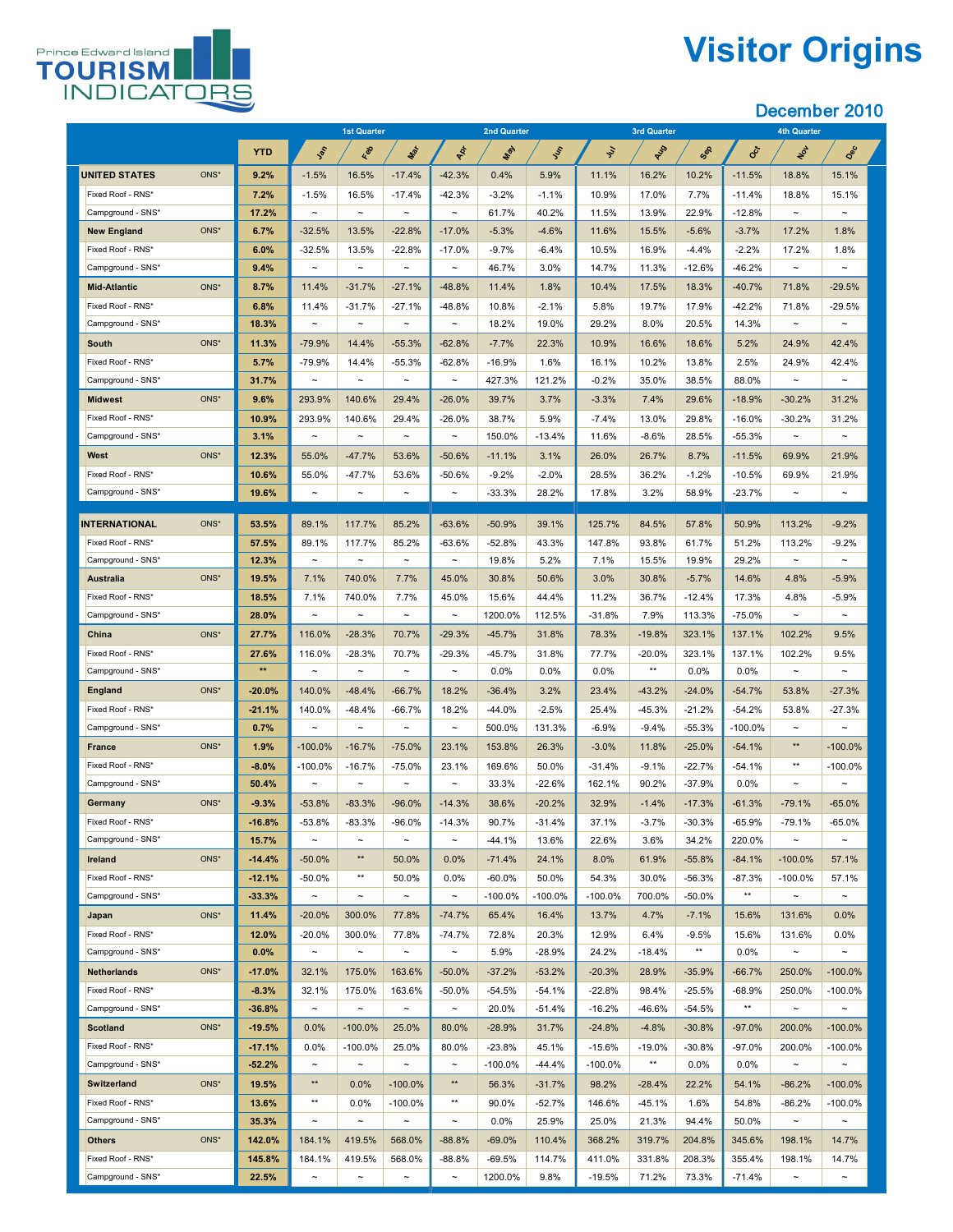

# **Visitor Origins**

|                                        |      |                      | <b>1st Quarter</b>               |                           | <b>2nd Quarter</b>              |                                    |                        | <b>3rd Quarter</b>   |                        |                    | <b>4th Quarter</b>   |                      |                                 |                                     |
|----------------------------------------|------|----------------------|----------------------------------|---------------------------|---------------------------------|------------------------------------|------------------------|----------------------|------------------------|--------------------|----------------------|----------------------|---------------------------------|-------------------------------------|
|                                        |      | <b>YTD</b>           | Jan                              | Red                       | Max                             | PRI                                | <b>May</b>             | SSS                  | $\mathcal{S}'$         | RUS                | Sep                  | Oct                  | NON                             | Dec                                 |
| <b>UNITED STATES</b>                   | ONS* | 9.2%                 | $-1.5%$                          | 16.5%                     | $-17.4%$                        | $-42.3%$                           | 0.4%                   | 5.9%                 | 11.1%                  | 16.2%              | 10.2%                | $-11.5%$             | 18.8%                           | 15.1%                               |
| Fixed Roof - RNS*                      |      | 7.2%                 | $-1.5%$                          | 16.5%                     | $-17.4\%$                       | $-42.3%$                           | $-3.2%$                | $-1.1%$              | 10.9%                  | 17.0%              | 7.7%                 | $-11.4%$             | 18.8%                           | 15.1%                               |
| Campground - SNS*                      |      | 17.2%                | $\thicksim$                      | $\thicksim$               | $\sim$                          | $\thicksim$                        | 61.7%                  | 40.2%                | 11.5%                  | 13.9%              | 22.9%                | $-12.8%$             | $\sim$                          | $\sim$                              |
| <b>New England</b>                     | ONS* | 6.7%                 | $-32.5%$                         | 13.5%                     | $-22.8%$                        | $-17.0%$                           | $-5.3%$                | $-4.6%$              | 11.6%                  | 15.5%              | $-5.6%$              | $-3.7%$              | 17.2%                           | 1.8%                                |
| Fixed Roof - RNS*                      |      | 6.0%                 | $-32.5%$                         | 13.5%                     | $-22.8%$                        | $-17.0%$                           | $-9.7%$                | $-6.4%$              | 10.5%                  | 16.9%              | $-4.4%$              | $-2.2%$              | 17.2%                           | 1.8%                                |
| Campground - SNS*                      |      | 9.4%                 | $\tilde{\phantom{m}}$            | $\tilde{\phantom{a}}$     | $\tilde{\phantom{a}}$           | $\tilde{\phantom{a}}$              | 46.7%                  | 3.0%                 | 14.7%                  | 11.3%              | $-12.6%$             | $-46.2%$             | $\sim$                          | $\sim$                              |
| <b>Mid-Atlantic</b>                    | ONS* | 8.7%                 | 11.4%                            | $-31.7%$                  | $-27.1%$                        | $-48.8%$                           | 11.4%                  | 1.8%                 | 10.4%                  | 17.5%              | 18.3%                | $-40.7%$             | 71.8%                           | $-29.5%$                            |
| Fixed Roof - RNS*                      |      | 6.8%                 | 11.4%                            | $-31.7%$                  | $-27.1%$                        | $-48.8%$                           | 10.8%                  | $-2.1%$              | 5.8%                   | 19.7%              | 17.9%                | $-42.2%$             | 71.8%                           | $-29.5%$                            |
| Campground - SNS*                      |      | 18.3%                | $\sim$                           | $\tilde{\phantom{a}}$     | $\sim$                          | $\tilde{\phantom{m}}$              | 18.2%                  | 19.0%                | 29.2%                  | 8.0%               | 20.5%                | 14.3%                | $\sim$                          | $\sim$                              |
| <b>South</b>                           | ONS* | 11.3%                | $-79.9%$                         | 14.4%                     | $-55.3%$                        | $-62.8%$                           | $-7.7%$                | 22.3%                | 10.9%                  | 16.6%              | 18.6%                | 5.2%                 | 24.9%                           | 42.4%                               |
| Fixed Roof - RNS*                      |      | 5.7%                 | $-79.9%$                         | 14.4%                     | $-55.3%$                        | $-62.8%$                           | $-16.9%$               | 1.6%                 | 16.1%                  | 10.2%              | 13.8%                | 2.5%                 | 24.9%                           | 42.4%                               |
| Campground - SNS*                      |      | 31.7%                | $\tilde{\phantom{a}}$            | $\tilde{\phantom{a}}$     | $\tilde{\phantom{a}}$           | $\tilde{\phantom{m}}$              | 427.3%                 | 121.2%               | $-0.2%$                | 35.0%              | 38.5%                | 88.0%                | $\sim$                          | $\sim$                              |
| <b>Midwest</b>                         | ONS* | 9.6%                 | 293.9%                           | 140.6%                    | 29.4%                           | $-26.0%$                           | 39.7%                  | 3.7%                 | $-3.3%$                | 7.4%               | 29.6%                | $-18.9%$             | $-30.2%$                        | 31.2%                               |
| Fixed Roof - RNS*                      |      | 10.9%                | 293.9%                           | 140.6%                    | 29.4%                           | $-26.0\%$                          | 38.7%                  | 5.9%                 | $-7.4\%$               | 13.0%              | 29.8%                | $-16.0\%$            | $-30.2\%$                       | 31.2%                               |
| Campground - SNS*                      |      | 3.1%                 | $\tilde{\phantom{a}}$            | $\thicksim$               | $\tilde{\phantom{a}}$           | $\tilde{\phantom{a}}$              | 150.0%                 | $-13.4%$             | 11.6%                  | $-8.6\%$           | 28.5%                | $-55.3%$             | $\tilde{\phantom{a}}$           | $\tilde{\phantom{m}}$               |
| <b>West</b>                            | ONS* | 12.3%                | 55.0%                            | $-47.7%$                  | 53.6%                           | $-50.6%$                           | $-11.1%$               | 3.1%                 | 26.0%                  | 26.7%              | 8.7%                 | $-11.5%$             | 69.9%                           | 21.9%                               |
| Fixed Roof - RNS*                      |      | 10.6%                | 55.0%                            | $-47.7%$                  | 53.6%                           | $-50.6%$                           | $-9.2%$                | $-2.0\%$             | 28.5%                  | 36.2%              | $-1.2%$              | $-10.5%$             | 69.9%                           | 21.9%                               |
| Campground - SNS*                      |      | 19.6%                | $\tilde{\phantom{a}}$            | $\thicksim$               | $\tilde{\phantom{a}}$           | $\tilde{\phantom{a}}$              | $-33.3%$               | 28.2%                | 17.8%                  | 3.2%               | 58.9%                | $-23.7%$             | $\tilde{\phantom{a}}$           | $\tilde{\phantom{a}}$               |
|                                        |      |                      |                                  |                           |                                 |                                    |                        |                      |                        |                    |                      |                      |                                 |                                     |
| <b>INTERNATIONAL</b>                   | ONS* | 53.5%                | 89.1%                            | 117.7%                    | 85.2%                           | $-63.6%$                           | $-50.9%$               | 39.1%                | 125.7%                 | 84.5%              | 57.8%                | 50.9%                | 113.2%                          | $-9.2%$                             |
| Fixed Roof - RNS*                      |      | 57.5%                | 89.1%                            | 117.7%                    | 85.2%                           | $-63.6%$                           | $-52.8%$               | 43.3%                | 147.8%                 | 93.8%              | 61.7%                | 51.2%                | 113.2%                          | $-9.2%$                             |
| Campground - SNS*                      |      | 12.3%                | $\thicksim$                      | $\tilde{\phantom{a}}$     | $\tilde{\phantom{m}}$           | $\thicksim$                        | 19.8%                  | 5.2%                 | 7.1%                   | 15.5%              | 19.9%                | 29.2%                | $\sim$                          | $\tilde{\phantom{m}}$               |
| <b>Australia</b>                       | ONS* | 19.5%                | 7.1%                             | 740.0%                    | 7.7%                            | 45.0%                              | 30.8%                  | 50.6%                | 3.0%                   | 30.8%              | $-5.7%$              | 14.6%                | 4.8%                            | $-5.9%$                             |
| Fixed Roof - RNS*                      |      | 18.5%                | 7.1%                             | 740.0%                    | 7.7%                            | 45.0%                              | 15.6%                  | 44.4%                | 11.2%                  | 36.7%              | $-12.4%$             | 17.3%                | 4.8%                            | $-5.9%$                             |
| Campground - SNS*                      |      | 28.0%                | $\tilde{\phantom{m}}$            | $\thicksim$               | $\tilde{\phantom{m}}$           | $\thicksim$                        | 1200.0%                | 112.5%               | $-31.8%$               | 7.9%               | 113.3%               | $-75.0\%$            | $\sim$                          | $\sim$                              |
| <b>China</b>                           | ONS* | 27.7%                | 116.0%                           | $-28.3%$                  | 70.7%                           | $-29.3%$                           | $-45.7%$               | 31.8%                | 78.3%                  | $-19.8%$           | 323.1%               | 137.1%               | 102.2%                          | 9.5%                                |
| Fixed Roof - RNS*                      |      | 27.6%<br>$**$        | 116.0%                           | $-28.3%$                  | 70.7%                           | $-29.3%$                           | $-45.7%$               | 31.8%                | 77.7%                  | $-20.0\%$<br>$***$ | 323.1%               | 137.1%               | 102.2%                          | 9.5%                                |
| Campground - SNS*                      |      |                      | $\tilde{\phantom{m}}$            | $\thicksim$               | $\tilde{\phantom{m}}$           | $\tilde{\phantom{m}}$              | $0.0\%$                | $0.0\%$              | $0.0\%$                |                    | 0.0%                 | $0.0\%$              | $\sim$                          | $\sim$                              |
| <b>England</b>                         | ONS* | $-20.0%$             | 140.0%                           | $-48.4%$                  | $-66.7%$                        | 18.2%                              | $-36.4%$               | 3.2%                 | 23.4%                  | $-43.2%$           | $-24.0%$             | $-54.7%$             | 53.8%                           | $-27.3%$                            |
| Fixed Roof - RNS*                      |      | $-21.1%$             | 140.0%                           | $-48.4%$                  | $-66.7%$                        | 18.2%                              | $-44.0%$               | $-2.5%$              | 25.4%                  | $-45.3%$           | $-21.2%$             | $-54.2%$             | 53.8%                           | $-27.3%$                            |
| Campground - SNS*                      |      | 0.7%                 | $\tilde{\phantom{a}}$            | $\thicksim$               | $\tilde{}$                      | $\tilde{\phantom{a}}$              | 500.0%                 | 131.3%               | $-6.9%$                | $-9.4%$            | $-55.3%$             | $-100.0\%$           | $***$                           | $\tilde{\phantom{m}}$               |
| <b>France</b>                          | ONS* | 1.9%                 | $-100.0\%$                       | $-16.7%$                  | $-75.0%$                        | 23.1%                              | 153.8%                 | 26.3%                | $-3.0\%$               | 11.8%              | $-25.0%$             | $-54.1%$             | $***$                           | $-100.0\%$                          |
| Fixed Roof - RNS*                      |      | $-8.0%$              | $-100.0\%$                       | $-16.7%$                  | $-75.0%$                        | 23.1%                              | 169.6%                 | 50.0%                | $-31.4%$               | $-9.1%$            | $-22.7%$             | $-54.1%$             |                                 | $-100.0\%$                          |
| Campground - SNS*                      |      | 50.4%                | $\tilde{\phantom{a}}$            | $\thicksim$               | $\tilde{\phantom{m}}$           | $\thicksim$                        | 33.3%                  | $-22.6%$             | 162.1%                 | 90.2%              | $-37.9%$             | $0.0\%$              | $\sim$                          | $\tilde{\phantom{m}}$               |
| <b>Germany</b>                         | ONS* | $-9.3%$              | $-53.8%$                         | $-83.3%$                  | $-96.0%$                        | $-14.3%$                           | 38.6%                  | $-20.2%$             | 32.9%                  | $-1.4%$            | $-17.3%$             | $-61.3%$             | $-79.1%$                        | $-65.0%$                            |
| Fixed Roof - RNS*                      |      | $-16.8%$             | $-53.8%$                         | $-83.3%$                  | $-96.0%$                        | $-14.3%$                           | 90.7%                  | $-31.4%$             | 37.1%                  | $-3.7%$            | $-30.3%$             | $-65.9%$             | $-79.1%$                        | $-65.0%$                            |
| Campground - SNS*                      |      | 15.7%                | $\tilde{\phantom{a}}$            | $\thicksim$<br>$***$      | $\tilde{\phantom{m}}$           | $\tilde{\phantom{m}}$              | $-44.1%$               | 13.6%                | 22.6%                  | 3.6%               | 34.2%                | 220.0%               | $\sim$                          | $\tilde{\phantom{m}}$               |
| <b>Ireland</b>                         | ONS* | $-14.4%$             | $-50.0%$                         | $***$                     | 50.0%                           | 0.0%                               | $-71.4%$               | 24.1%                | 8.0%                   | 61.9%              | $-55.8%$             | $-84.1%$             | $-100.0\%$                      | 57.1%                               |
| Fixed Roof - RNS*<br>Campground - SNS* |      | $-12.1%$<br>$-33.3%$ | $-50.0\%$<br>$\thicksim$         |                           | 50.0%                           | 0.0%                               | $-60.0\%$              | 50.0%<br>$-100.0\%$  | 54.3%<br>$-100.0\%$    | 30.0%<br>700.0%    | $-56.3%$             | $-87.3%$<br>$***$    | $-100.0\%$                      | 57.1%<br>$\sim$                     |
|                                        | ONS* | 11.4%                | $-20.0\%$                        | $\thicksim$<br>300.0%     | $\sim$<br>77.8%                 | $\tilde{\phantom{m}}$<br>$-74.7%$  | $-100.0\%$<br>65.4%    | 16.4%                | 13.7%                  | 4.7%               | $-50.0\%$<br>$-7.1%$ | 15.6%                | $\sim$<br>131.6%                | $0.0\%$                             |
| Japan<br>Fixed Roof - RNS*             |      |                      |                                  |                           |                                 |                                    |                        |                      |                        |                    |                      |                      |                                 |                                     |
| Campground - SNS*                      |      | 12.0%<br>$0.0\%$     | $-20.0\%$<br>$\thicksim$         | 300.0%<br>$\thicksim$     | 77.8%<br>$\tilde{\phantom{m}}$  | $-74.7%$<br>$\thicksim$            | 72.8%<br>5.9%          | 20.3%<br>$-28.9%$    | 12.9%<br>24.2%         | 6.4%<br>$-18.4%$   | $-9.5%$<br>$***$     | 15.6%<br>$0.0\%$     | 131.6%<br>$\sim$                | $0.0\%$<br>$\sim$                   |
| <b>Netherlands</b>                     | ONS* | $-17.0%$             | 32.1%                            |                           | 163.6%                          |                                    | $-37.2%$               | $-53.2%$             | $-20.3%$               | 28.9%              |                      | $-66.7%$             |                                 | $-100.0\%$                          |
| Fixed Roof - RNS*                      |      |                      |                                  | 175.0%                    |                                 | $-50.0\%$                          |                        |                      |                        |                    | $-35.9%$             |                      | 250.0%                          |                                     |
| Campground - SNS*                      |      | $-8.3%$<br>$-36.8%$  | 32.1%<br>$\tilde{\phantom{a}}$   | 175.0%<br>$\thicksim$     | 163.6%<br>$\tilde{\phantom{a}}$ | $-50.0\%$<br>$\tilde{\phantom{m}}$ | $-54.5%$<br>20.0%      | $-54.1%$<br>$-51.4%$ | $-22.8%$<br>$-16.2%$   | 98.4%<br>$-46.6%$  | $-25.5%$<br>$-54.5%$ | $-68.9%$<br>$***$    | 250.0%<br>$\tilde{\phantom{m}}$ | $-100.0\%$<br>$\tilde{\phantom{a}}$ |
| <b>Scotland</b>                        | ONS* | $-19.5%$             | 0.0%                             | $-100.0\%$                | 25.0%                           | 80.0%                              | $-28.9%$               | 31.7%                | $-24.8%$               | $-4.8%$            | $-30.8%$             | $-97.0%$             | 200.0%                          | $-100.0\%$                          |
| Fixed Roof - RNS*                      |      |                      |                                  |                           |                                 |                                    |                        |                      |                        |                    |                      |                      |                                 |                                     |
| Campground - SNS*                      |      | $-17.1%$<br>$-52.2%$ | $0.0\%$<br>$\tilde{\phantom{a}}$ | $-100.0\%$<br>$\thicksim$ | 25.0%<br>$\sim$                 | 80.0%<br>$\thicksim$               | $-23.8%$<br>$-100.0\%$ | 45.1%<br>$-44.4\%$   | $-15.6%$<br>$-100.0\%$ | $-19.0\%$<br>$***$ | $-30.8%$<br>$0.0\%$  | $-97.0\%$<br>$0.0\%$ | 200.0%<br>$\sim$                | $-100.0\%$<br>$\sim$                |
| <b>Switzerland</b>                     | ONS* | 19.5%                | $***$                            | 0.0%                      | $-100.0\%$                      | $***$                              | 56.3%                  | $-31.7%$             | 98.2%                  |                    | 22.2%                |                      |                                 | $-100.0\%$                          |
| Fixed Roof - RNS*                      |      |                      | $***$                            |                           |                                 | $***$                              |                        |                      |                        | $-28.4%$           |                      | 54.1%                | $-86.2%$                        |                                     |
| Campground - SNS*                      |      | 13.6%<br>35.3%       | $\thicksim$                      | $0.0\%$<br>$\thicksim$    | $-100.0\%$<br>$\sim$            | $\thicksim$                        | 90.0%<br>$0.0\%$       | $-52.7%$<br>25.9%    | 146.6%<br>25.0%        | $-45.1%$<br>21.3%  | 1.6%<br>94.4%        | 54.8%<br>50.0%       | $-86.2%$<br>$\sim$              | $-100.0\%$<br>$\sim$                |
| <b>Others</b>                          | ONS* | 142.0%               | 184.1%                           | 419.5%                    | 568.0%                          | $-88.8%$                           | $-69.0%$               | 110.4%               | 368.2%                 | 319.7%             | 204.8%               | 345.6%               | 198.1%                          | 14.7%                               |
| Fixed Roof - RNS*                      |      |                      |                                  |                           |                                 |                                    |                        |                      |                        |                    |                      |                      |                                 | 14.7%                               |
| Campground - SNS*                      |      | 145.8%<br>22.5%      | 184.1%<br>$\thicksim$            | 419.5%<br>$\thicksim$     | 568.0%<br>$\tilde{\phantom{a}}$ | $-88.8%$<br>$\thicksim$            | $-69.5%$<br>1200.0%    | 114.7%<br>9.8%       | 411.0%<br>$-19.5%$     | 331.8%<br>71.2%    | 208.3%<br>73.3%      | 355.4%<br>$-71.4\%$  | 198.1%<br>$\thicksim$           | $\sim$                              |
|                                        |      |                      |                                  |                           |                                 |                                    |                        |                      |                        |                    |                      |                      |                                 |                                     |